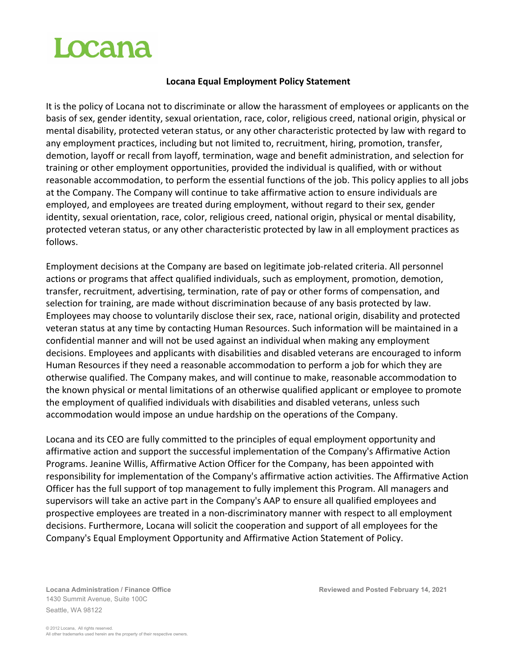## Locana

## **Locana Equal Employment Policy Statement**

It is the policy of Locana not to discriminate or allow the harassment of employees or applicants on the basis of sex, gender identity, sexual orientation, race, color, religious creed, national origin, physical or mental disability, protected veteran status, or any other characteristic protected by law with regard to any employment practices, including but not limited to, recruitment, hiring, promotion, transfer, demotion, layoff or recall from layoff, termination, wage and benefit administration, and selection for training or other employment opportunities, provided the individual is qualified, with or without reasonable accommodation, to perform the essential functions of the job. This policy applies to all jobs at the Company. The Company will continue to take affirmative action to ensure individuals are employed, and employees are treated during employment, without regard to their sex, gender identity, sexual orientation, race, color, religious creed, national origin, physical or mental disability, protected veteran status, or any other characteristic protected by law in all employment practices as follows.

Employment decisions at the Company are based on legitimate job-related criteria. All personnel actions or programs that affect qualified individuals, such as employment, promotion, demotion, transfer, recruitment, advertising, termination, rate of pay or other forms of compensation, and selection for training, are made without discrimination because of any basis protected by law. Employees may choose to voluntarily disclose their sex, race, national origin, disability and protected veteran status at any time by contacting Human Resources. Such information will be maintained in a confidential manner and will not be used against an individual when making any employment decisions. Employees and applicants with disabilities and disabled veterans are encouraged to inform Human Resources if they need a reasonable accommodation to perform a job for which they are otherwise qualified. The Company makes, and will continue to make, reasonable accommodation to the known physical or mental limitations of an otherwise qualified applicant or employee to promote the employment of qualified individuals with disabilities and disabled veterans, unless such accommodation would impose an undue hardship on the operations of the Company.

Locana and its CEO are fully committed to the principles of equal employment opportunity and affirmative action and support the successful implementation of the Company's Affirmative Action Programs. Jeanine Willis, Affirmative Action Officer for the Company, has been appointed with responsibility for implementation of the Company's affirmative action activities. The Affirmative Action Officer has the full support of top management to fully implement this Program. All managers and supervisors will take an active part in the Company's AAP to ensure all qualified employees and prospective employees are treated in a non-discriminatory manner with respect to all employment decisions. Furthermore, Locana will solicit the cooperation and support of all employees for the Company's Equal Employment Opportunity and Affirmative Action Statement of Policy.

1430 Summit Avenue, Suite 100C Seattle, WA 98122

**Locana Administration / Finance Office Reviewed and Posted February 14, 2021**